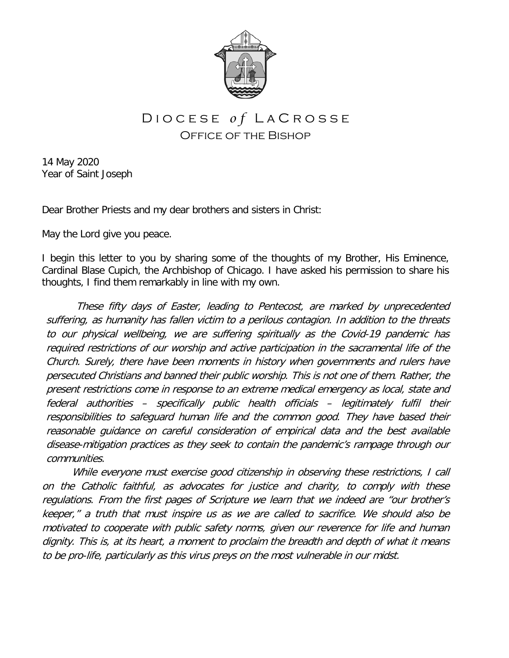

## D I O C E S E *of* L A C R O S S E Office of the Bishop

14 May 2020 Year of Saint Joseph

Dear Brother Priests and my dear brothers and sisters in Christ:

May the Lord give you peace.

I begin this letter to you by sharing some of the thoughts of my Brother, His Eminence, Cardinal Blase Cupich, the Archbishop of Chicago. I have asked his permission to share his thoughts, I find them remarkably in line with my own.

These fifty days of Easter, leading to Pentecost, are marked by unprecedented suffering, as humanity has fallen victim to a perilous contagion. In addition to the threats to our physical wellbeing, we are suffering spiritually as the Covid-19 pandemic has required restrictions of our worship and active participation in the sacramental life of the Church. Surely, there have been moments in history when governments and rulers have persecuted Christians and banned their public worship. This is not one of them. Rather, the present restrictions come in response to an extreme medical emergency as local, state and federal authorities – specifically public health officials – legitimately fulfil their responsibilities to safeguard human life and the common good. They have based their reasonable guidance on careful consideration of empirical data and the best available disease-mitigation practices as they seek to contain the pandemic's rampage through our communities.

While everyone must exercise good citizenship in observing these restrictions, I call on the Catholic faithful, as advocates for justice and charity, to comply with these regulations. From the first pages of Scripture we learn that we indeed are "our brother's keeper," a truth that must inspire us as we are called to sacrifice. We should also be motivated to cooperate with public safety norms, given our reverence for life and human dignity. This is, at its heart, a moment to proclaim the breadth and depth of what it means to be pro-life, particularly as this virus preys on the most vulnerable in our midst.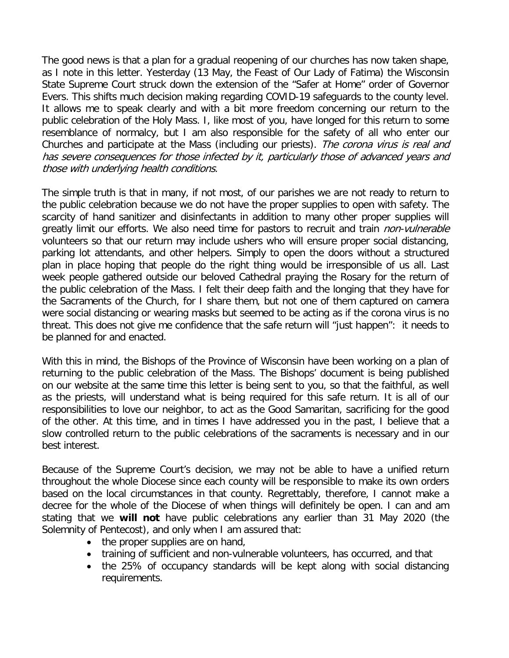The good news is that a plan for a gradual reopening of our churches has now taken shape, as I note in this letter. Yesterday (13 May, the Feast of Our Lady of Fatima) the Wisconsin State Supreme Court struck down the extension of the "Safer at Home" order of Governor Evers. This shifts much decision making regarding COVID-19 safeguards to the county level. It allows me to speak clearly and with a bit more freedom concerning our return to the public celebration of the Holy Mass. I, like most of you, have longed for this return to some resemblance of normalcy, but I am also responsible for the safety of all who enter our Churches and participate at the Mass (including our priests). The corona virus is real and has severe consequences for those infected by it, particularly those of advanced years and those with underlying health conditions.

The simple truth is that in many, if not most, of our parishes we are not ready to return to the public celebration because we do not have the proper supplies to open with safety. The scarcity of hand sanitizer and disinfectants in addition to many other proper supplies will greatly limit our efforts. We also need time for pastors to recruit and train *non-vulnerable* volunteers so that our return may include ushers who will ensure proper social distancing, parking lot attendants, and other helpers. Simply to open the doors without a structured plan in place hoping that people do the right thing would be irresponsible of us all. Last week people gathered outside our beloved Cathedral praying the Rosary for the return of the public celebration of the Mass. I felt their deep faith and the longing that they have for the Sacraments of the Church, for I share them, but not one of them captured on camera were social distancing or wearing masks but seemed to be acting as if the corona virus is no threat. This does not give me confidence that the safe return will "just happen": it needs to be planned for and enacted.

With this in mind, the Bishops of the Province of Wisconsin have been working on a plan of returning to the public celebration of the Mass. The Bishops' document is being published on our website at the same time this letter is being sent to you, so that the faithful, as well as the priests, will understand what is being required for this safe return. It is all of our responsibilities to love our neighbor, to act as the Good Samaritan, sacrificing for the good of the other. At this time, and in times I have addressed you in the past, I believe that a slow controlled return to the public celebrations of the sacraments is necessary and in our best interest.

Because of the Supreme Court's decision, we may not be able to have a unified return throughout the whole Diocese since each county will be responsible to make its own orders based on the local circumstances in that county. Regrettably, therefore, I cannot make a decree for the whole of the Diocese of when things will definitely be open. I can and am stating that we **will not** have public celebrations any earlier than 31 May 2020 (the Solemnity of Pentecost), and only when I am assured that:

- the proper supplies are on hand,
- training of sufficient and non-vulnerable volunteers, has occurred, and that
- the 25% of occupancy standards will be kept along with social distancing requirements.